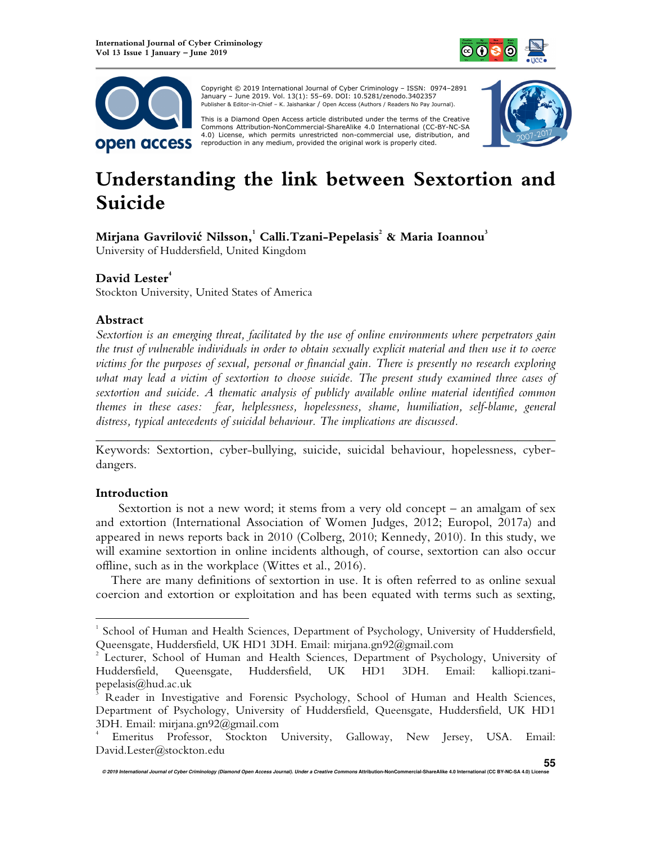



Copyright © 2019 International Journal of Cyber Criminology – ISSN: 0974–2891 January – June 2019. Vol. 13(1): 55–69. DOI: 10.5281/zenodo.3402357 Publisher & Editor-in-Chief – K. Jaishankar / Open Access (Authors / Readers No Pay Journal).

This is a Diamond Open Access article distributed under the terms of the Creative Commons HTUAttribution-NonCommercial-ShareAlike 4.0 International (CC-BY-NC-SA 4.0) License, which permits unrestricted non-commercial use, distribution, and reproduction in any medium, provided the original work is properly cited.



# **Understanding the link between Sextortion and Suicide**

**Mirjana Gavrilović Nilsson,<sup>1</sup> Calli.Tzani-Pepelasis<sup>2</sup> & Maria Ioannou<sup>3</sup>**

University of Huddersfield, United Kingdom

# David Lester<sup><sup>4</sup></sup>

Stockton University, United States of America

# **Abstract**

*Sextortion is an emerging threat, facilitated by the use of online environments where perpetrators gain the trust of vulnerable individuals in order to obtain sexually explicit material and then use it to coerce victims for the purposes of sexual, personal or financial gain. There is presently no research exploring what may lead a victim of sextortion to choose suicide. The present study examined three cases of sextortion and suicide. A thematic analysis of publicly available online material identified common themes in these cases: fear, helplessness, hopelessness, shame, humiliation, self-blame, general distress, typical antecedents of suicidal behaviour. The implications are discussed.* 

*\_\_\_\_\_\_\_\_\_\_\_\_\_\_\_\_\_\_\_\_\_\_\_\_\_\_\_\_\_\_\_\_\_\_\_\_\_\_\_\_\_\_\_\_\_\_\_\_\_\_\_\_\_\_\_\_\_\_\_\_\_\_\_\_\_\_\_\_\_\_\_\_*  Keywords: Sextortion, cyber-bullying, suicide, suicidal behaviour, hopelessness, cyberdangers.

# **Introduction**

-

Sextortion is not a new word; it stems from a very old concept – an amalgam of sex and extortion (International Association of Women Judges, 2012; Europol, 2017a) and appeared in news reports back in 2010 (Colberg, 2010; Kennedy, 2010). In this study, we will examine sextortion in online incidents although, of course, sextortion can also occur offline, such as in the workplace (Wittes et al., 2016).

There are many definitions of sextortion in use. It is often referred to as online sexual coercion and extortion or exploitation and has been equated with terms such as sexting,

<sup>1</sup> School of Human and Health Sciences, Department of Psychology, University of Huddersfield, Queensgate, Huddersfield, UK HD1 3DH. Email: mirjana.gn92@gmail.com

<sup>2</sup> Lecturer, School of Human and Health Sciences, Department of Psychology, University of Huddersfield, Queensgate, Huddersfield, UK HD1 3DH. Email: kalliopi.tzanipepelasis@hud.ac.uk

<sup>3</sup> Reader in Investigative and Forensic Psychology, School of Human and Health Sciences, Department of Psychology, University of Huddersfield, Queensgate, Huddersfield, UK HD1 3DH. Email: mirjana.gn92@gmail.com

<sup>4</sup> Emeritus Professor, Stockton University, Galloway, New Jersey, USA. Email: David.Lester@stockton.edu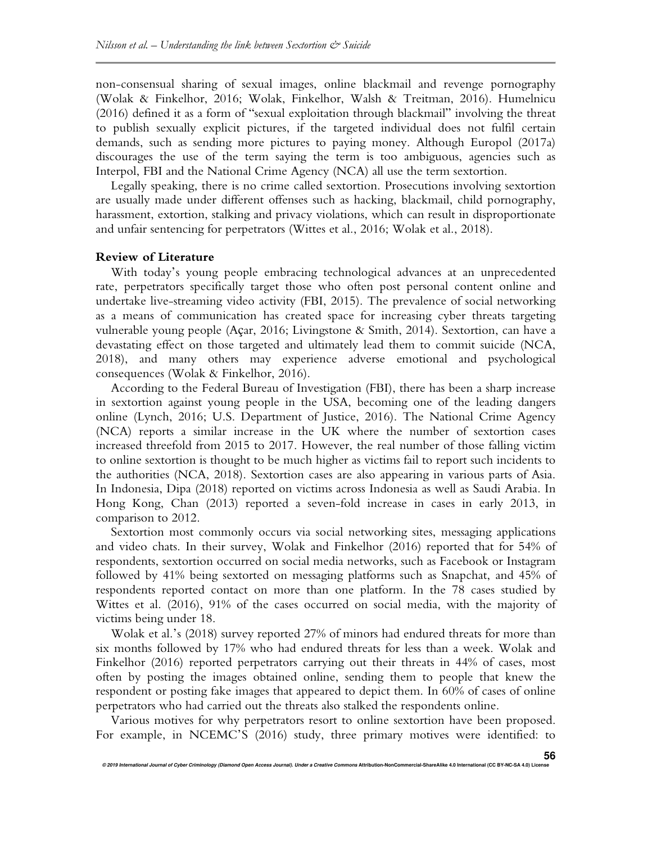non-consensual sharing of sexual images, online blackmail and revenge pornography (Wolak & Finkelhor, 2016; Wolak, Finkelhor, Walsh & Treitman, 2016). Humelnicu (2016) defined it as a form of "sexual exploitation through blackmail" involving the threat to publish sexually explicit pictures, if the targeted individual does not fulfil certain demands, such as sending more pictures to paying money. Although Europol (2017a) discourages the use of the term saying the term is too ambiguous, agencies such as Interpol, FBI and the National Crime Agency (NCA) all use the term sextortion.

Legally speaking, there is no crime called sextortion. Prosecutions involving sextortion are usually made under different offenses such as hacking, blackmail, child pornography, harassment, extortion, stalking and privacy violations, which can result in disproportionate and unfair sentencing for perpetrators (Wittes et al., 2016; Wolak et al., 2018).

# **Review of Literature**

With today's young people embracing technological advances at an unprecedented rate, perpetrators specifically target those who often post personal content online and undertake live-streaming video activity (FBI, 2015). The prevalence of social networking as a means of communication has created space for increasing cyber threats targeting vulnerable young people (Açar, 2016; Livingstone & Smith, 2014). Sextortion, can have a devastating effect on those targeted and ultimately lead them to commit suicide (NCA, 2018), and many others may experience adverse emotional and psychological consequences (Wolak & Finkelhor, 2016).

According to the Federal Bureau of Investigation (FBI), there has been a sharp increase in sextortion against young people in the USA, becoming one of the leading dangers online (Lynch, 2016; U.S. Department of Justice, 2016). The National Crime Agency (NCA) reports a similar increase in the UK where the number of sextortion cases increased threefold from 2015 to 2017. However, the real number of those falling victim to online sextortion is thought to be much higher as victims fail to report such incidents to the authorities (NCA, 2018). Sextortion cases are also appearing in various parts of Asia. In Indonesia, Dipa (2018) reported on victims across Indonesia as well as Saudi Arabia. In Hong Kong, Chan (2013) reported a seven-fold increase in cases in early 2013, in comparison to 2012.

Sextortion most commonly occurs via social networking sites, messaging applications and video chats. In their survey, Wolak and Finkelhor (2016) reported that for 54% of respondents, sextortion occurred on social media networks, such as Facebook or Instagram followed by 41% being sextorted on messaging platforms such as Snapchat, and 45% of respondents reported contact on more than one platform. In the 78 cases studied by Wittes et al. (2016), 91% of the cases occurred on social media, with the majority of victims being under 18.

Wolak et al.'s (2018) survey reported 27% of minors had endured threats for more than six months followed by 17% who had endured threats for less than a week. Wolak and Finkelhor (2016) reported perpetrators carrying out their threats in 44% of cases, most often by posting the images obtained online, sending them to people that knew the respondent or posting fake images that appeared to depict them. In 60% of cases of online perpetrators who had carried out the threats also stalked the respondents online.

Various motives for why perpetrators resort to online sextortion have been proposed. For example, in NCEMC'S (2016) study, three primary motives were identified: to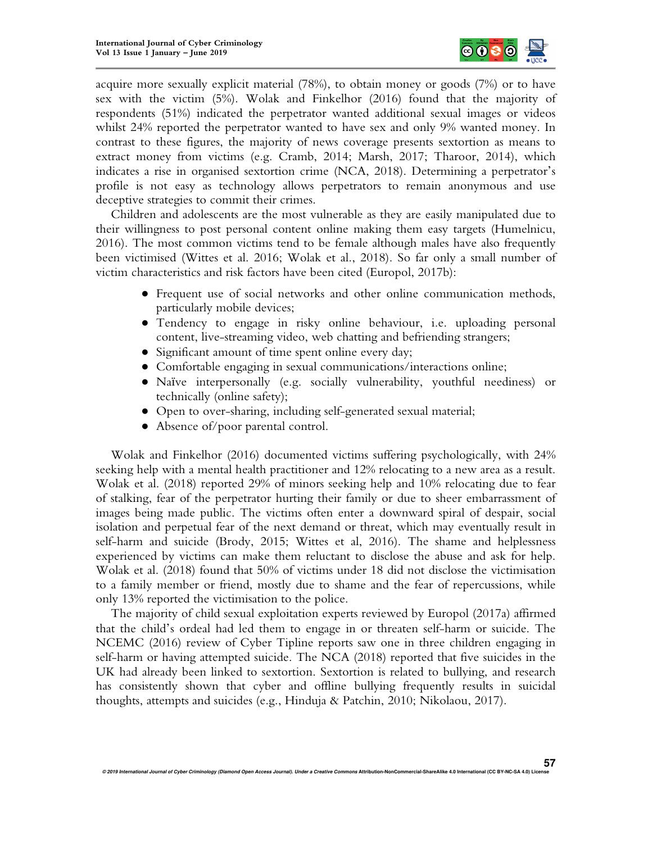

acquire more sexually explicit material (78%), to obtain money or goods (7%) or to have sex with the victim (5%). Wolak and Finkelhor (2016) found that the majority of respondents (51%) indicated the perpetrator wanted additional sexual images or videos whilst 24% reported the perpetrator wanted to have sex and only 9% wanted money. In contrast to these figures, the majority of news coverage presents sextortion as means to extract money from victims (e.g. Cramb, 2014; Marsh, 2017; Tharoor, 2014), which indicates a rise in organised sextortion crime (NCA, 2018). Determining a perpetrator's profile is not easy as technology allows perpetrators to remain anonymous and use deceptive strategies to commit their crimes.

Children and adolescents are the most vulnerable as they are easily manipulated due to their willingness to post personal content online making them easy targets (Humelnicu, 2016). The most common victims tend to be female although males have also frequently been victimised (Wittes et al. 2016; Wolak et al., 2018). So far only a small number of victim characteristics and risk factors have been cited (Europol, 2017b):

- Frequent use of social networks and other online communication methods, particularly mobile devices;
- Tendency to engage in risky online behaviour, i.e. uploading personal content, live-streaming video, web chatting and befriending strangers;
- Significant amount of time spent online every day;
- Comfortable engaging in sexual communications/interactions online;
- Naïve interpersonally (e.g. socially vulnerability, youthful neediness) or technically (online safety);
- Open to over-sharing, including self-generated sexual material;
- Absence of/poor parental control.

Wolak and Finkelhor (2016) documented victims suffering psychologically, with 24% seeking help with a mental health practitioner and 12% relocating to a new area as a result. Wolak et al. (2018) reported 29% of minors seeking help and 10% relocating due to fear of stalking, fear of the perpetrator hurting their family or due to sheer embarrassment of images being made public. The victims often enter a downward spiral of despair, social isolation and perpetual fear of the next demand or threat, which may eventually result in self-harm and suicide (Brody, 2015; Wittes et al, 2016). The shame and helplessness experienced by victims can make them reluctant to disclose the abuse and ask for help. Wolak et al. (2018) found that 50% of victims under 18 did not disclose the victimisation to a family member or friend, mostly due to shame and the fear of repercussions, while only 13% reported the victimisation to the police.

The majority of child sexual exploitation experts reviewed by Europol (2017a) affirmed that the child's ordeal had led them to engage in or threaten self-harm or suicide. The NCEMC (2016) review of Cyber Tipline reports saw one in three children engaging in self-harm or having attempted suicide. The NCA (2018) reported that five suicides in the UK had already been linked to sextortion. Sextortion is related to bullying, and research has consistently shown that cyber and offline bullying frequently results in suicidal thoughts, attempts and suicides (e.g., Hinduja & Patchin, 2010; Nikolaou, 2017).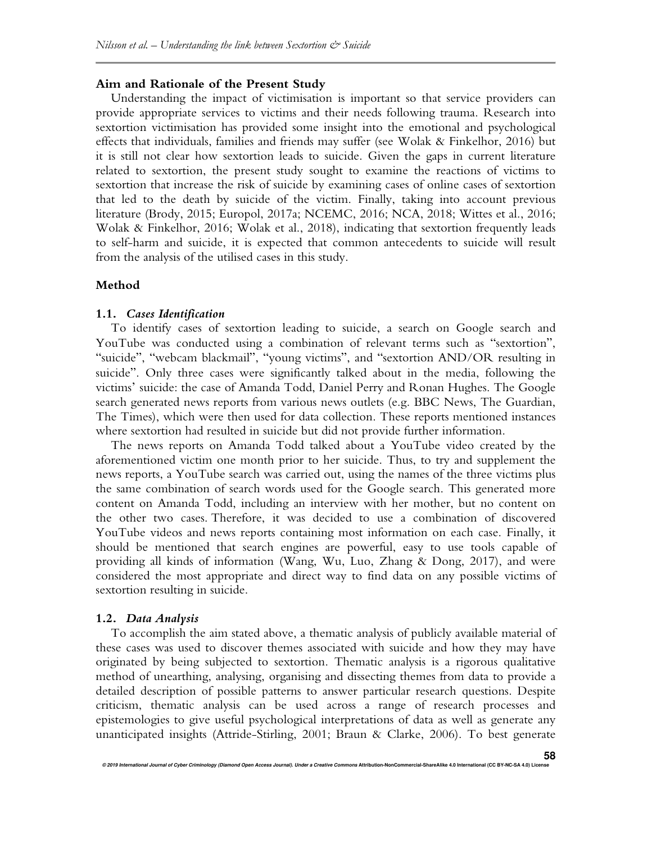## **Aim and Rationale of the Present Study**

Understanding the impact of victimisation is important so that service providers can provide appropriate services to victims and their needs following trauma. Research into sextortion victimisation has provided some insight into the emotional and psychological effects that individuals, families and friends may suffer (see Wolak & Finkelhor, 2016) but it is still not clear how sextortion leads to suicide. Given the gaps in current literature related to sextortion, the present study sought to examine the reactions of victims to sextortion that increase the risk of suicide by examining cases of online cases of sextortion that led to the death by suicide of the victim. Finally, taking into account previous literature (Brody, 2015; Europol, 2017a; NCEMC, 2016; NCA, 2018; Wittes et al., 2016; Wolak & Finkelhor, 2016; Wolak et al., 2018), indicating that sextortion frequently leads to self-harm and suicide, it is expected that common antecedents to suicide will result from the analysis of the utilised cases in this study.

## **Method**

#### **1.1.** *Cases Identification*

To identify cases of sextortion leading to suicide, a search on Google search and YouTube was conducted using a combination of relevant terms such as "sextortion", "suicide", "webcam blackmail", "young victims", and "sextortion AND/OR resulting in suicide". Only three cases were significantly talked about in the media, following the victims' suicide: the case of Amanda Todd, Daniel Perry and Ronan Hughes. The Google search generated news reports from various news outlets (e.g. BBC News, The Guardian, The Times), which were then used for data collection. These reports mentioned instances where sextortion had resulted in suicide but did not provide further information.

The news reports on Amanda Todd talked about a YouTube video created by the aforementioned victim one month prior to her suicide. Thus, to try and supplement the news reports, a YouTube search was carried out, using the names of the three victims plus the same combination of search words used for the Google search. This generated more content on Amanda Todd, including an interview with her mother, but no content on the other two cases. Therefore, it was decided to use a combination of discovered YouTube videos and news reports containing most information on each case. Finally, it should be mentioned that search engines are powerful, easy to use tools capable of providing all kinds of information (Wang, Wu, Luo, Zhang & Dong, 2017), and were considered the most appropriate and direct way to find data on any possible victims of sextortion resulting in suicide.

## **1.2.** *Data Analysis*

To accomplish the aim stated above, a thematic analysis of publicly available material of these cases was used to discover themes associated with suicide and how they may have originated by being subjected to sextortion. Thematic analysis is a rigorous qualitative method of unearthing, analysing, organising and dissecting themes from data to provide a detailed description of possible patterns to answer particular research questions. Despite criticism, thematic analysis can be used across a range of research processes and epistemologies to give useful psychological interpretations of data as well as generate any unanticipated insights (Attride-Stirling, 2001; Braun & Clarke, 2006). To best generate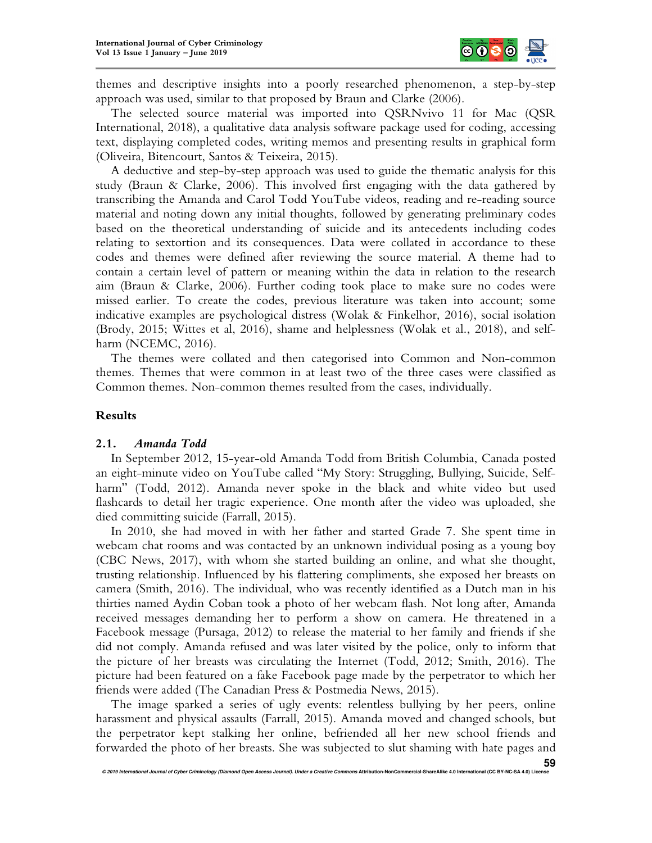

themes and descriptive insights into a poorly researched phenomenon, a step-by-step approach was used, similar to that proposed by Braun and Clarke (2006).

The selected source material was imported into QSRNvivo 11 for Mac (QSR International, 2018), a qualitative data analysis software package used for coding, accessing text, displaying completed codes, writing memos and presenting results in graphical form (Oliveira, Bitencourt, Santos & Teixeira, 2015).

A deductive and step-by-step approach was used to guide the thematic analysis for this study (Braun & Clarke, 2006). This involved first engaging with the data gathered by transcribing the Amanda and Carol Todd YouTube videos, reading and re-reading source material and noting down any initial thoughts, followed by generating preliminary codes based on the theoretical understanding of suicide and its antecedents including codes relating to sextortion and its consequences. Data were collated in accordance to these codes and themes were defined after reviewing the source material. A theme had to contain a certain level of pattern or meaning within the data in relation to the research aim (Braun & Clarke, 2006). Further coding took place to make sure no codes were missed earlier. To create the codes, previous literature was taken into account; some indicative examples are psychological distress (Wolak & Finkelhor, 2016), social isolation (Brody, 2015; Wittes et al, 2016), shame and helplessness (Wolak et al., 2018), and selfharm (NCEMC, 2016).

The themes were collated and then categorised into Common and Non-common themes. Themes that were common in at least two of the three cases were classified as Common themes. Non-common themes resulted from the cases, individually.

# **Results**

# **2.1.** *Amanda Todd*

In September 2012, 15-year-old Amanda Todd from British Columbia, Canada posted an eight-minute video on YouTube called "My Story: Struggling, Bullying, Suicide, Selfharm" (Todd, 2012). Amanda never spoke in the black and white video but used flashcards to detail her tragic experience. One month after the video was uploaded, she died committing suicide (Farrall, 2015).

In 2010, she had moved in with her father and started Grade 7. She spent time in webcam chat rooms and was contacted by an unknown individual posing as a young boy (CBC News, 2017), with whom she started building an online, and what she thought, trusting relationship. Influenced by his flattering compliments, she exposed her breasts on camera (Smith, 2016). The individual, who was recently identified as a Dutch man in his thirties named Aydin Coban took a photo of her webcam flash. Not long after, Amanda received messages demanding her to perform a show on camera. He threatened in a Facebook message (Pursaga, 2012) to release the material to her family and friends if she did not comply. Amanda refused and was later visited by the police, only to inform that the picture of her breasts was circulating the Internet (Todd, 2012; Smith, 2016). The picture had been featured on a fake Facebook page made by the perpetrator to which her friends were added (The Canadian Press & Postmedia News, 2015).

The image sparked a series of ugly events: relentless bullying by her peers, online harassment and physical assaults (Farrall, 2015). Amanda moved and changed schools, but the perpetrator kept stalking her online, befriended all her new school friends and forwarded the photo of her breasts. She was subjected to slut shaming with hate pages and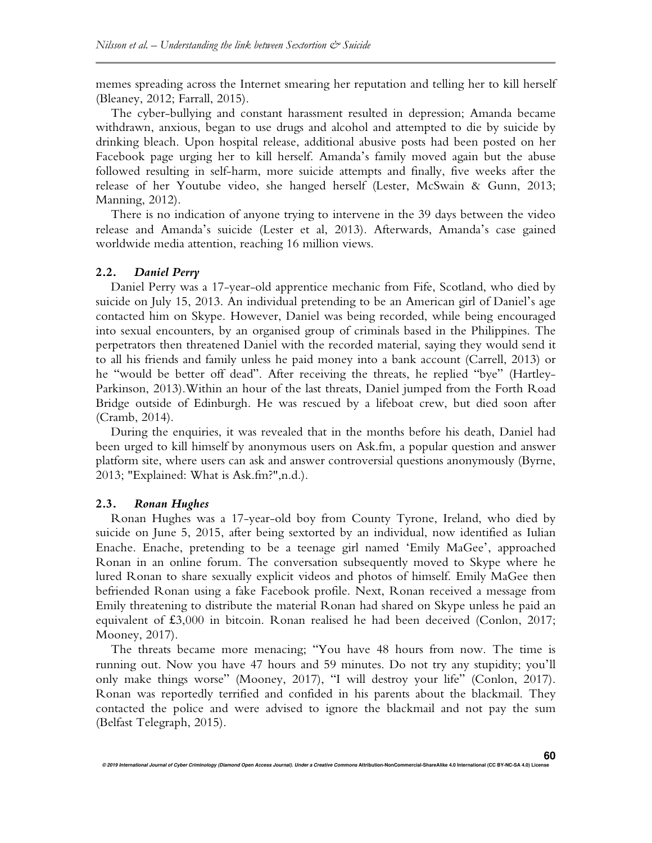memes spreading across the Internet smearing her reputation and telling her to kill herself (Bleaney, 2012; Farrall, 2015).

The cyber-bullying and constant harassment resulted in depression; Amanda became withdrawn, anxious, began to use drugs and alcohol and attempted to die by suicide by drinking bleach. Upon hospital release, additional abusive posts had been posted on her Facebook page urging her to kill herself. Amanda's family moved again but the abuse followed resulting in self-harm, more suicide attempts and finally, five weeks after the release of her Youtube video, she hanged herself (Lester, McSwain & Gunn, 2013; Manning, 2012).

There is no indication of anyone trying to intervene in the 39 days between the video release and Amanda's suicide (Lester et al, 2013). Afterwards, Amanda's case gained worldwide media attention, reaching 16 million views.

## **2.2.** *Daniel Perry*

Daniel Perry was a 17-year-old apprentice mechanic from Fife, Scotland, who died by suicide on July 15, 2013. An individual pretending to be an American girl of Daniel's age contacted him on Skype. However, Daniel was being recorded, while being encouraged into sexual encounters, by an organised group of criminals based in the Philippines. The perpetrators then threatened Daniel with the recorded material, saying they would send it to all his friends and family unless he paid money into a bank account (Carrell, 2013) or he "would be better off dead". After receiving the threats, he replied "bye" (Hartley-Parkinson, 2013).Within an hour of the last threats, Daniel jumped from the Forth Road Bridge outside of Edinburgh. He was rescued by a lifeboat crew, but died soon after (Cramb, 2014).

During the enquiries, it was revealed that in the months before his death, Daniel had been urged to kill himself by anonymous users on Ask.fm, a popular question and answer platform site, where users can ask and answer controversial questions anonymously (Byrne, 2013; "Explained: What is Ask.fm?",n.d.).

# **2.3.** *Ronan Hughes*

Ronan Hughes was a 17-year-old boy from County Tyrone, Ireland, who died by suicide on June 5, 2015, after being sextorted by an individual, now identified as Iulian Enache. Enache, pretending to be a teenage girl named 'Emily MaGee', approached Ronan in an online forum. The conversation subsequently moved to Skype where he lured Ronan to share sexually explicit videos and photos of himself. Emily MaGee then befriended Ronan using a fake Facebook profile. Next, Ronan received a message from Emily threatening to distribute the material Ronan had shared on Skype unless he paid an equivalent of £3,000 in bitcoin. Ronan realised he had been deceived (Conlon, 2017; Mooney, 2017).

The threats became more menacing; "You have 48 hours from now. The time is running out. Now you have 47 hours and 59 minutes. Do not try any stupidity; you'll only make things worse" (Mooney, 2017), "I will destroy your life" (Conlon, 2017). Ronan was reportedly terrified and confided in his parents about the blackmail. They contacted the police and were advised to ignore the blackmail and not pay the sum (Belfast Telegraph, 2015).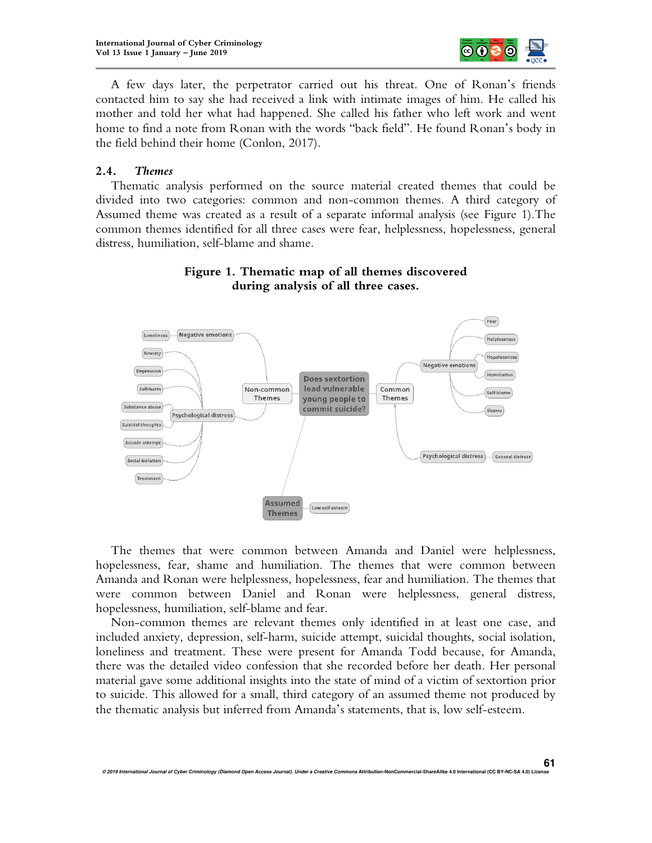

A few days later, the perpetrator carried out his threat. One of Ronan's friends contacted him to say she had received a link with intimate images of him. He called his mother and told her what had happened. She called his father who left work and went home to find a note from Ronan with the words "back field". He found Ronan's body in the field behind their home (Conlon, 2017).

# **2.4.** *Themes*

Thematic analysis performed on the source material created themes that could be divided into two categories: common and non-common themes. A third category of Assumed theme was created as a result of a separate informal analysis (see Figure 1).The common themes identified for all three cases were fear, helplessness, hopelessness, general distress, humiliation, self-blame and shame.



# **Figure 1. Thematic map of all themes discovered during analysis of all three cases.**

The themes that were common between Amanda and Daniel were helplessness, hopelessness, fear, shame and humiliation. The themes that were common between Amanda and Ronan were helplessness, hopelessness, fear and humiliation. The themes that were common between Daniel and Ronan were helplessness, general distress, hopelessness, humiliation, self-blame and fear.

Non-common themes are relevant themes only identified in at least one case, and included anxiety, depression, self-harm, suicide attempt, suicidal thoughts, social isolation, loneliness and treatment. These were present for Amanda Todd because, for Amanda, there was the detailed video confession that she recorded before her death. Her personal material gave some additional insights into the state of mind of a victim of sextortion prior to suicide. This allowed for a small, third category of an assumed theme not produced by the thematic analysis but inferred from Amanda's statements, that is, low self-esteem.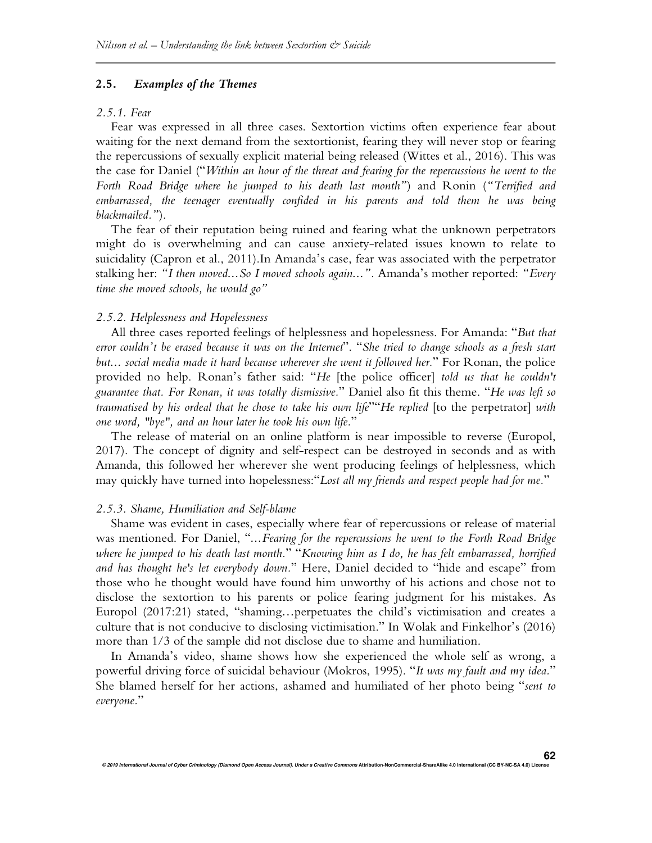# **2.5.** *Examples of the Themes*

## *2.5.1. Fear*

Fear was expressed in all three cases. Sextortion victims often experience fear about waiting for the next demand from the sextortionist, fearing they will never stop or fearing the repercussions of sexually explicit material being released (Wittes et al., 2016). This was the case for Daniel ("*Within an hour of the threat and fearing for the repercussions he went to the Forth Road Bridge where he jumped to his death last month"*) and Ronin (*"Terrified and embarrassed, the teenager eventually confided in his parents and told them he was being blackmailed."*).

The fear of their reputation being ruined and fearing what the unknown perpetrators might do is overwhelming and can cause anxiety-related issues known to relate to suicidality (Capron et al., 2011).In Amanda's case, fear was associated with the perpetrator stalking her: *"I then moved…So I moved schools again…"*. Amanda's mother reported: *"Every time she moved schools, he would go"*

## *2.5.2. Helplessness and Hopelessness*

All three cases reported feelings of helplessness and hopelessness. For Amanda: "*But that error couldn't be erased because it was on the Internet*". "*She tried to change schools as a fresh start but… social media made it hard because wherever she went it followed her.*" For Ronan, the police provided no help. Ronan's father said: "*He* [the police officer] *told us that he couldn't guarantee that. For Ronan, it was totally dismissive.*" Daniel also fit this theme. "*He was left so traumatised by his ordeal that he chose to take his own life*""*He replied* [to the perpetrator] *with one word, "bye", and an hour later he took his own life.*"

The release of material on an online platform is near impossible to reverse (Europol, 2017). The concept of dignity and self-respect can be destroyed in seconds and as with Amanda, this followed her wherever she went producing feelings of helplessness, which may quickly have turned into hopelessness:"*Lost all my friends and respect people had for me.*"

## *2.5.3. Shame, Humiliation and Self-blame*

Shame was evident in cases, especially where fear of repercussions or release of material was mentioned. For Daniel, "*…Fearing for the repercussions he went to the Forth Road Bridge where he jumped to his death last month.*" "*Knowing him as I do, he has felt embarrassed, horrified and has thought he's let everybody down.*" Here, Daniel decided to "hide and escape" from those who he thought would have found him unworthy of his actions and chose not to disclose the sextortion to his parents or police fearing judgment for his mistakes. As Europol (2017:21) stated, "shaming…perpetuates the child's victimisation and creates a culture that is not conducive to disclosing victimisation." In Wolak and Finkelhor's (2016) more than 1/3 of the sample did not disclose due to shame and humiliation.

In Amanda's video, shame shows how she experienced the whole self as wrong, a powerful driving force of suicidal behaviour (Mokros, 1995). "*It was my fault and my idea.*" She blamed herself for her actions, ashamed and humiliated of her photo being "*sent to everyone.*"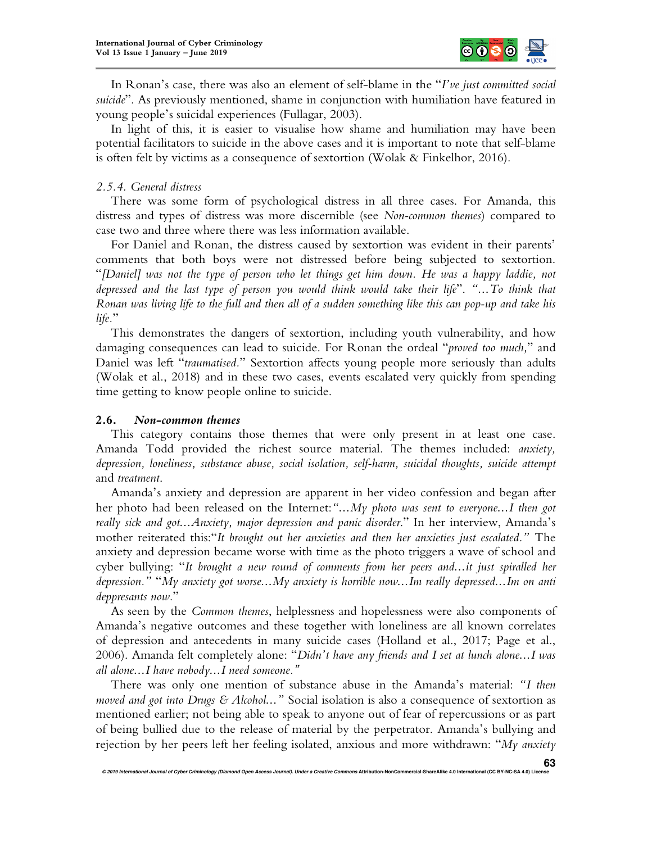

In Ronan's case, there was also an element of self-blame in the "*I've just committed social suicide*". As previously mentioned, shame in conjunction with humiliation have featured in young people's suicidal experiences (Fullagar, 2003).

In light of this, it is easier to visualise how shame and humiliation may have been potential facilitators to suicide in the above cases and it is important to note that self-blame is often felt by victims as a consequence of sextortion (Wolak & Finkelhor, 2016).

# *2.5.4. General distress*

There was some form of psychological distress in all three cases. For Amanda, this distress and types of distress was more discernible (see *Non-common themes*) compared to case two and three where there was less information available.

For Daniel and Ronan, the distress caused by sextortion was evident in their parents' comments that both boys were not distressed before being subjected to sextortion. "*[Daniel] was not the type of person who let things get him down. He was a happy laddie, not depressed and the last type of person you would think would take their life*". *"…To think that Ronan was living life to the full and then all of a sudden something like this can pop-up and take his life.*"

This demonstrates the dangers of sextortion, including youth vulnerability, and how damaging consequences can lead to suicide. For Ronan the ordeal "*proved too much,*" and Daniel was left "*traumatised.*" Sextortion affects young people more seriously than adults (Wolak et al., 2018) and in these two cases, events escalated very quickly from spending time getting to know people online to suicide.

# **2.6.** *Non-common themes*

This category contains those themes that were only present in at least one case. Amanda Todd provided the richest source material. The themes included: *anxiety, depression, loneliness, substance abuse, social isolation, self-harm, suicidal thoughts, suicide attempt* and *treatment*.

Amanda's anxiety and depression are apparent in her video confession and began after her photo had been released on the Internet:*"…My photo was sent to everyone…I then got really sick and got…Anxiety, major depression and panic disorder*." In her interview, Amanda's mother reiterated this:"*It brought out her anxieties and then her anxieties just escalated."* The anxiety and depression became worse with time as the photo triggers a wave of school and cyber bullying: "*It brought a new round of comments from her peers and…it just spiralled her depression."* "*My anxiety got worse…My anxiety is horrible now…Im really depressed…Im on anti deppresants now.*"

As seen by the *Common themes*, helplessness and hopelessness were also components of Amanda's negative outcomes and these together with loneliness are all known correlates of depression and antecedents in many suicide cases (Holland et al., 2017; Page et al., 2006). Amanda felt completely alone: "*Didn't have any friends and I set at lunch alone…I was all alone…I have nobody…I need someone.*"

There was only one mention of substance abuse in the Amanda's material: *"I then moved and got into Drugs & Alcohol…"* Social isolation is also a consequence of sextortion as mentioned earlier; not being able to speak to anyone out of fear of repercussions or as part of being bullied due to the release of material by the perpetrator. Amanda's bullying and rejection by her peers left her feeling isolated, anxious and more withdrawn: "*My anxiety*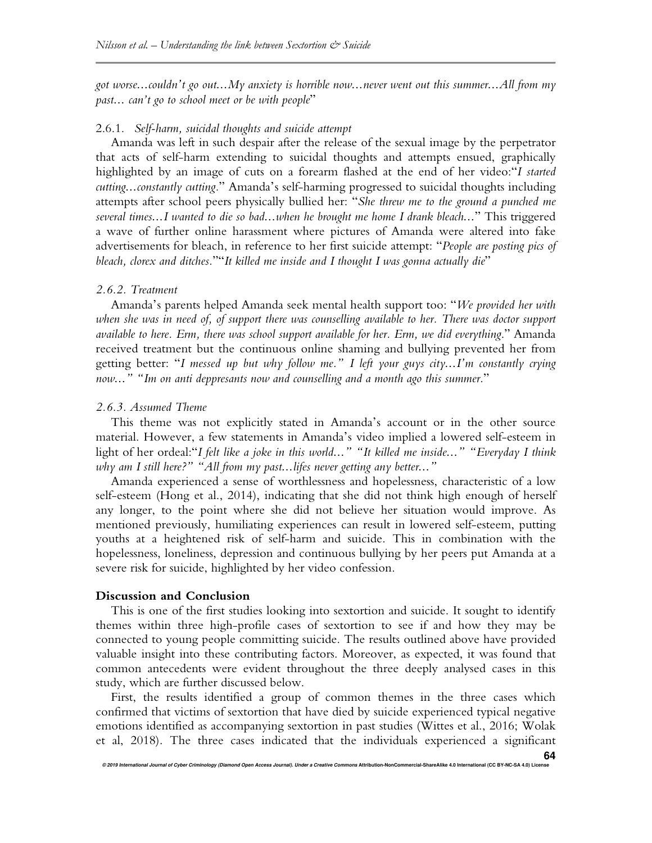*got worse…couldn't go out…My anxiety is horrible now…never went out this summer…All from my past… can't go to school meet or be with people*"

## 2.6.1. *Self-harm, suicidal thoughts and suicide attempt*

Amanda was left in such despair after the release of the sexual image by the perpetrator that acts of self-harm extending to suicidal thoughts and attempts ensued, graphically highlighted by an image of cuts on a forearm flashed at the end of her video:"*I started cutting…constantly cutting.*" Amanda's self-harming progressed to suicidal thoughts including attempts after school peers physically bullied her: "*She threw me to the ground a punched me several times…I wanted to die so bad…when he brought me home I drank bleach…*" This triggered a wave of further online harassment where pictures of Amanda were altered into fake advertisements for bleach, in reference to her first suicide attempt: "*People are posting pics of bleach, clorex and ditches.*""*It killed me inside and I thought I was gonna actually die*"

#### *2.6.2. Treatment*

Amanda's parents helped Amanda seek mental health support too: "*We provided her with*  when she was in need of, of support there was counselling available to her. There was doctor support *available to here. Erm, there was school support available for her. Erm, we did everything*." Amanda received treatment but the continuous online shaming and bullying prevented her from getting better: "*I messed up but why follow me." I left your guys city…I'm constantly crying now…" "Im on anti deppresants now and counselling and a month ago this summer.*"

## *2.6.3. Assumed Theme*

This theme was not explicitly stated in Amanda's account or in the other source material. However, a few statements in Amanda's video implied a lowered self-esteem in light of her ordeal:"*I felt like a joke in this world…" "It killed me inside…" "Everyday I think why am I still here?" "All from my past…lifes never getting any better…"*

Amanda experienced a sense of worthlessness and hopelessness, characteristic of a low self-esteem (Hong et al., 2014), indicating that she did not think high enough of herself any longer, to the point where she did not believe her situation would improve. As mentioned previously, humiliating experiences can result in lowered self-esteem, putting youths at a heightened risk of self-harm and suicide. This in combination with the hopelessness, loneliness, depression and continuous bullying by her peers put Amanda at a severe risk for suicide, highlighted by her video confession.

# **Discussion and Conclusion**

This is one of the first studies looking into sextortion and suicide. It sought to identify themes within three high-profile cases of sextortion to see if and how they may be connected to young people committing suicide. The results outlined above have provided valuable insight into these contributing factors. Moreover, as expected, it was found that common antecedents were evident throughout the three deeply analysed cases in this study, which are further discussed below.

First, the results identified a group of common themes in the three cases which confirmed that victims of sextortion that have died by suicide experienced typical negative emotions identified as accompanying sextortion in past studies (Wittes et al., 2016; Wolak et al, 2018). The three cases indicated that the individuals experienced a significant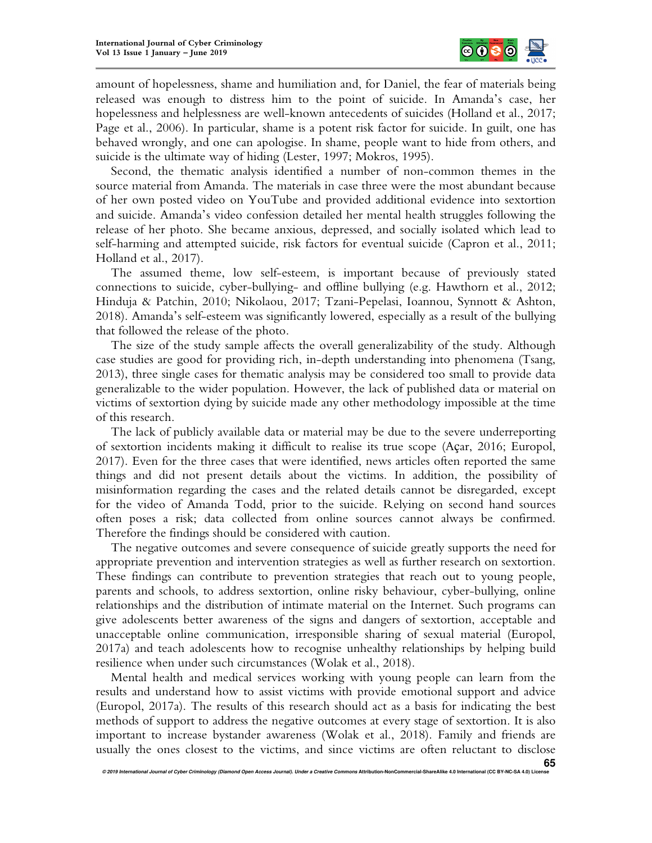

amount of hopelessness, shame and humiliation and, for Daniel, the fear of materials being released was enough to distress him to the point of suicide. In Amanda's case, her hopelessness and helplessness are well-known antecedents of suicides (Holland et al., 2017; Page et al., 2006). In particular, shame is a potent risk factor for suicide. In guilt, one has behaved wrongly, and one can apologise. In shame, people want to hide from others, and suicide is the ultimate way of hiding (Lester, 1997; Mokros, 1995).

Second, the thematic analysis identified a number of non-common themes in the source material from Amanda. The materials in case three were the most abundant because of her own posted video on YouTube and provided additional evidence into sextortion and suicide. Amanda's video confession detailed her mental health struggles following the release of her photo. She became anxious, depressed, and socially isolated which lead to self-harming and attempted suicide, risk factors for eventual suicide (Capron et al., 2011; Holland et al., 2017).

The assumed theme, low self-esteem, is important because of previously stated connections to suicide, cyber-bullying- and offline bullying (e.g. Hawthorn et al., 2012; Hinduja & Patchin, 2010; Nikolaou, 2017; Tzani-Pepelasi, Ioannou, Synnott & Ashton, 2018). Amanda's self-esteem was significantly lowered, especially as a result of the bullying that followed the release of the photo.

The size of the study sample affects the overall generalizability of the study. Although case studies are good for providing rich, in-depth understanding into phenomena (Tsang, 2013), three single cases for thematic analysis may be considered too small to provide data generalizable to the wider population. However, the lack of published data or material on victims of sextortion dying by suicide made any other methodology impossible at the time of this research.

The lack of publicly available data or material may be due to the severe underreporting of sextortion incidents making it difficult to realise its true scope (Açar, 2016; Europol, 2017). Even for the three cases that were identified, news articles often reported the same things and did not present details about the victims. In addition, the possibility of misinformation regarding the cases and the related details cannot be disregarded, except for the video of Amanda Todd, prior to the suicide. Relying on second hand sources often poses a risk; data collected from online sources cannot always be confirmed. Therefore the findings should be considered with caution.

The negative outcomes and severe consequence of suicide greatly supports the need for appropriate prevention and intervention strategies as well as further research on sextortion. These findings can contribute to prevention strategies that reach out to young people, parents and schools, to address sextortion, online risky behaviour, cyber-bullying, online relationships and the distribution of intimate material on the Internet. Such programs can give adolescents better awareness of the signs and dangers of sextortion, acceptable and unacceptable online communication, irresponsible sharing of sexual material (Europol, 2017a) and teach adolescents how to recognise unhealthy relationships by helping build resilience when under such circumstances (Wolak et al., 2018).

Mental health and medical services working with young people can learn from the results and understand how to assist victims with provide emotional support and advice (Europol, 2017a). The results of this research should act as a basis for indicating the best methods of support to address the negative outcomes at every stage of sextortion. It is also important to increase bystander awareness (Wolak et al., 2018). Family and friends are usually the ones closest to the victims, and since victims are often reluctant to disclose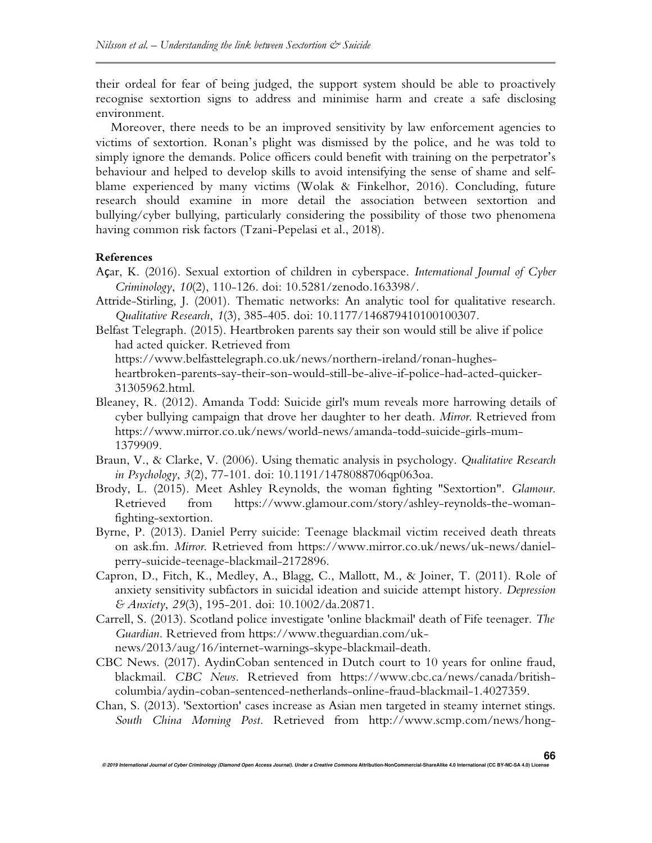their ordeal for fear of being judged, the support system should be able to proactively recognise sextortion signs to address and minimise harm and create a safe disclosing environment.

Moreover, there needs to be an improved sensitivity by law enforcement agencies to victims of sextortion. Ronan's plight was dismissed by the police, and he was told to simply ignore the demands. Police officers could benefit with training on the perpetrator's behaviour and helped to develop skills to avoid intensifying the sense of shame and selfblame experienced by many victims (Wolak & Finkelhor, 2016). Concluding, future research should examine in more detail the association between sextortion and bullying/cyber bullying, particularly considering the possibility of those two phenomena having common risk factors (Tzani-Pepelasi et al., 2018).

# **References**

- Açar, K. (2016). Sexual extortion of children in cyberspace. *International Journal of Cyber Criminology*, *10*(2), 110-126. doi: 10.5281/zenodo.163398/.
- Attride-Stirling, J. (2001). Thematic networks: An analytic tool for qualitative research. *Qualitative Research*, *1*(3), 385-405. doi: 10.1177/146879410100100307.
- Belfast Telegraph. (2015). Heartbroken parents say their son would still be alive if police had acted quicker. Retrieved from https://www.belfasttelegraph.co.uk/news/northern-ireland/ronan-hughes-

heartbroken-parents-say-their-son-would-still-be-alive-if-police-had-acted-quicker-31305962.html.

- Bleaney, R. (2012). Amanda Todd: Suicide girl's mum reveals more harrowing details of cyber bullying campaign that drove her daughter to her death. *Mirror*. Retrieved from https://www.mirror.co.uk/news/world-news/amanda-todd-suicide-girls-mum-1379909.
- Braun, V., & Clarke, V. (2006). Using thematic analysis in psychology. *Qualitative Research in Psychology*, *3*(2), 77-101. doi: 10.1191/1478088706qp063oa.
- Brody, L. (2015). Meet Ashley Reynolds, the woman fighting "Sextortion". *Glamour*. Retrieved from https://www.glamour.com/story/ashley-reynolds-the-womanfighting-sextortion.
- Byrne, P. (2013). Daniel Perry suicide: Teenage blackmail victim received death threats on ask.fm. *Mirror*. Retrieved from https://www.mirror.co.uk/news/uk-news/danielperry-suicide-teenage-blackmail-2172896.
- Capron, D., Fitch, K., Medley, A., Blagg, C., Mallott, M., & Joiner, T. (2011). Role of anxiety sensitivity subfactors in suicidal ideation and suicide attempt history. *Depression & Anxiety*, *29*(3), 195-201. doi: 10.1002/da.20871.
- Carrell, S. (2013). Scotland police investigate 'online blackmail' death of Fife teenager. *The Guardian*. Retrieved from https://www.theguardian.com/uk-
- news/2013/aug/16/internet-warnings-skype-blackmail-death.
- CBC News. (2017). AydinCoban sentenced in Dutch court to 10 years for online fraud, blackmail. *CBC News*. Retrieved from https://www.cbc.ca/news/canada/britishcolumbia/aydin-coban-sentenced-netherlands-online-fraud-blackmail-1.4027359.
- Chan, S. (2013). 'Sextortion' cases increase as Asian men targeted in steamy internet stings. *South China Morning Post*. Retrieved from http://www.scmp.com/news/hong-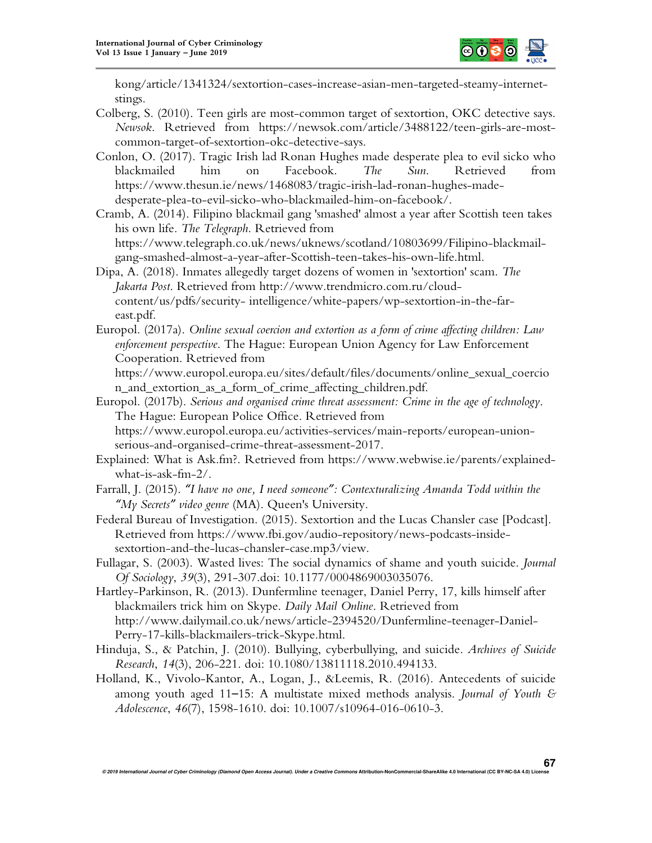

kong/article/1341324/sextortion-cases-increase-asian-men-targeted-steamy-internetstings.

- Colberg, S. (2010). Teen girls are most-common target of sextortion, OKC detective says. *Newsok*. Retrieved from https://newsok.com/article/3488122/teen-girls-are-mostcommon-target-of-sextortion-okc-detective-says.
- Conlon, O. (2017). Tragic Irish lad Ronan Hughes made desperate plea to evil sicko who blackmailed him on Facebook. *The Sun*. Retrieved from https://www.thesun.ie/news/1468083/tragic-irish-lad-ronan-hughes-madedesperate-plea-to-evil-sicko-who-blackmailed-him-on-facebook/.

Cramb, A. (2014). Filipino blackmail gang 'smashed' almost a year after Scottish teen takes his own life. *The Telegraph*. Retrieved from https://www.telegraph.co.uk/news/uknews/scotland/10803699/Filipino-blackmail-

gang-smashed-almost-a-year-after-Scottish-teen-takes-his-own-life.html. Dipa, A. (2018). Inmates allegedly target dozens of women in 'sextortion' scam. *The Jakarta Post*. Retrieved from http://www.trendmicro.com.ru/cloud-

content/us/pdfs/security- intelligence/white-papers/wp-sextortion-in-the-fareast.pdf.

Europol. (2017a). *Online sexual coercion and extortion as a form of crime affecting children: Law enforcement perspective*. The Hague: European Union Agency for Law Enforcement Cooperation. Retrieved from

https://www.europol.europa.eu/sites/default/files/documents/online\_sexual\_coercio n\_and\_extortion\_as\_a\_form\_of\_crime\_affecting\_children.pdf.

Europol. (2017b). *Serious and organised crime threat assessment: Crime in the age of technology*. The Hague: European Police Office. Retrieved from https://www.europol.europa.eu/activities-services/main-reports/european-union-

serious-and-organised-crime-threat-assessment-2017.

- Explained: What is Ask.fm?. Retrieved from https://www.webwise.ie/parents/explainedwhat-is-ask-fm-2/.
- Farrall, J. (2015). *"I have no one, I need someone": Contexturalizing Amanda Todd within the "My Secrets" video genre* (MA). Queen's University.

Federal Bureau of Investigation. (2015). Sextortion and the Lucas Chansler case [Podcast]. Retrieved from https://www.fbi.gov/audio-repository/news-podcasts-insidesextortion-and-the-lucas-chansler-case.mp3/view.

- Fullagar, S. (2003). Wasted lives: The social dynamics of shame and youth suicide. *Journal Of Sociology*, *39*(3), 291-307.doi: 10.1177/0004869003035076.
- Hartley-Parkinson, R. (2013). Dunfermline teenager, Daniel Perry, 17, kills himself after blackmailers trick him on Skype. *Daily Mail Online*. Retrieved from http://www.dailymail.co.uk/news/article-2394520/Dunfermline-teenager-Daniel-Perry-17-kills-blackmailers-trick-Skype.html.
- Hinduja, S., & Patchin, J. (2010). Bullying, cyberbullying, and suicide. *Archives of Suicide Research*, *14*(3), 206-221. doi: 10.1080/13811118.2010.494133.
- Holland, K., Vivolo-Kantor, A., Logan, J., &Leemis, R. (2016). Antecedents of suicide among youth aged 11–15: A multistate mixed methods analysis. *Journal of Youth & Adolescence*, *46*(7), 1598-1610. doi: 10.1007/s10964-016-0610-3.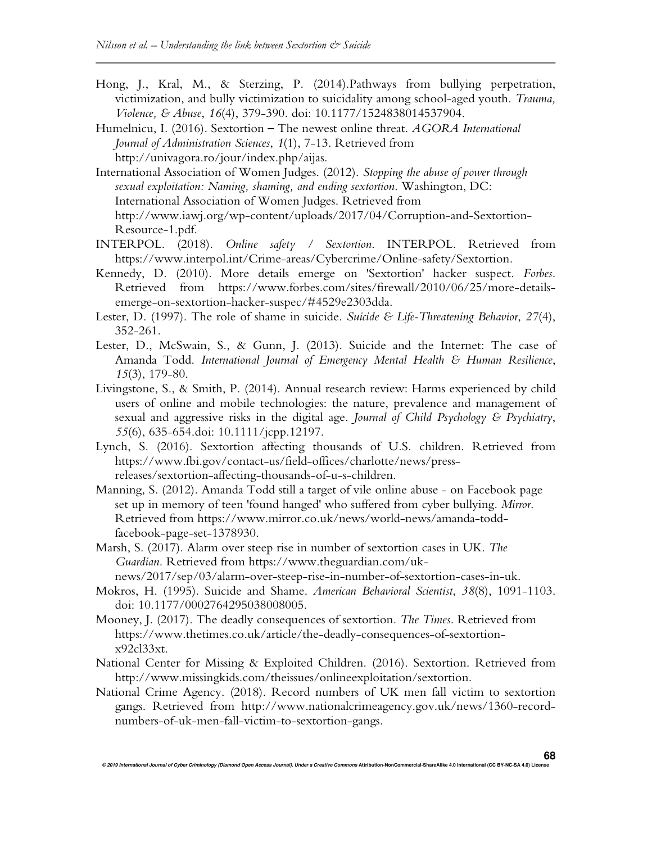- Hong, J., Kral, M., & Sterzing, P. (2014).Pathways from bullying perpetration, victimization, and bully victimization to suicidality among school-aged youth. *Trauma, Violence, & Abuse*, *16*(4), 379-390. doi: 10.1177/1524838014537904.
- Humelnicu, I. (2016). Sextortion The newest online threat. *AGORA International Journal of Administration Sciences*, *1*(1), 7-13. Retrieved from http://univagora.ro/jour/index.php/aijas.
- International Association of Women Judges. (2012). *Stopping the abuse of power through sexual exploitation: Naming, shaming, and ending sextortion*. Washington, DC: International Association of Women Judges. Retrieved from http://www.iawj.org/wp-content/uploads/2017/04/Corruption-and-Sextortion-Resource-1.pdf.
- INTERPOL. (2018). *Online safety / Sextortion*. INTERPOL. Retrieved from https://www.interpol.int/Crime-areas/Cybercrime/Online-safety/Sextortion.
- Kennedy, D. (2010). More details emerge on 'Sextortion' hacker suspect. *Forbes*. Retrieved from https://www.forbes.com/sites/firewall/2010/06/25/more-detailsemerge-on-sextortion-hacker-suspec/#4529e2303dda.
- Lester, D. (1997). The role of shame in suicide. *Suicide & Life-Threatening Behavior*, *27*(4), 352-261.
- Lester, D., McSwain, S., & Gunn, J. (2013). Suicide and the Internet: The case of Amanda Todd. *International Journal of Emergency Mental Health & Human Resilience*, *15*(3), 179-80.
- Livingstone, S., & Smith, P. (2014). Annual research review: Harms experienced by child users of online and mobile technologies: the nature, prevalence and management of sexual and aggressive risks in the digital age. *Journal of Child Psychology & Psychiatry*, *55*(6), 635-654.doi: 10.1111/jcpp.12197.
- Lynch, S. (2016). Sextortion affecting thousands of U.S. children. Retrieved from https://www.fbi.gov/contact-us/field-offices/charlotte/news/pressreleases/sextortion-affecting-thousands-of-u-s-children.
- Manning, S. (2012). Amanda Todd still a target of vile online abuse on Facebook page set up in memory of teen 'found hanged' who suffered from cyber bullying. *Mirror*. Retrieved from https://www.mirror.co.uk/news/world-news/amanda-toddfacebook-page-set-1378930.
- Marsh, S. (2017). Alarm over steep rise in number of sextortion cases in UK. *The Guardian*. Retrieved from https://www.theguardian.com/uk-

news/2017/sep/03/alarm-over-steep-rise-in-number-of-sextortion-cases-in-uk.

- Mokros, H. (1995). Suicide and Shame. *American Behavioral Scientist*, *38*(8), 1091-1103. doi: 10.1177/0002764295038008005.
- Mooney, J. (2017). The deadly consequences of sextortion. *The Times*. Retrieved from https://www.thetimes.co.uk/article/the-deadly-consequences-of-sextortionx92cl33xt.
- National Center for Missing & Exploited Children. (2016). Sextortion. Retrieved from http://www.missingkids.com/theissues/onlineexploitation/sextortion.
- National Crime Agency. (2018). Record numbers of UK men fall victim to sextortion gangs. Retrieved from http://www.nationalcrimeagency.gov.uk/news/1360-recordnumbers-of-uk-men-fall-victim-to-sextortion-gangs.